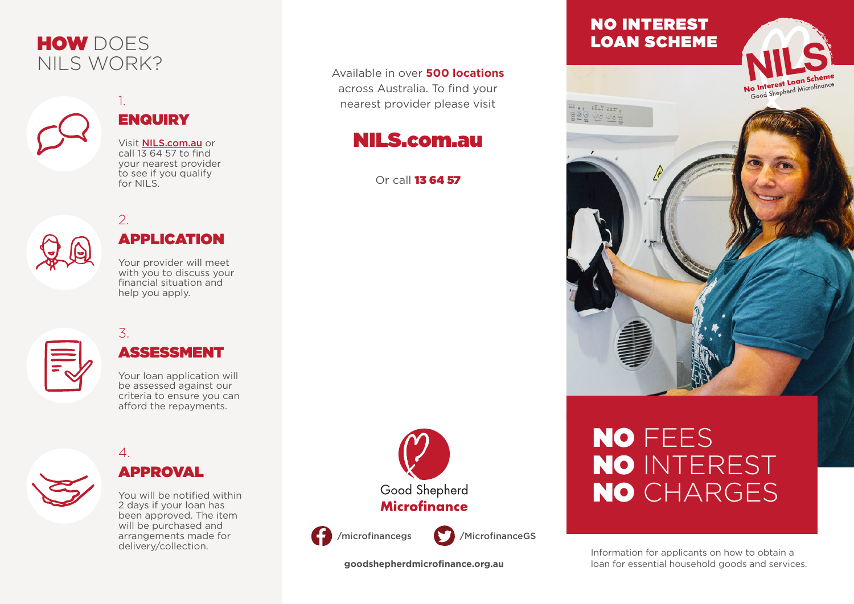# HOW DOES NILS WORK?

# **ENQUIRY**

1.

2.

Visit NILS.com.au or call  $1\overline{3}$  64 57 to find your nearest provider to see if you qualify for NILS.

# APPLICATION

Your provider will meet with you to discuss your financial situation and help you apply.

# 3.

4.

### ASSESSMENT

Your loan application will be assessed against our criteria to ensure you can afford the repayments.

# APPROVAL

You will be notified within 2 days if your loan has been approved. The item will be purchased and arrangements made for delivery/collection.



Available in over **500 locations** across Australia. To find your nearest provider please visit

NILS.com.au

Or call 13 64 57



**goodshepherdmicrofinance.org.au**

### NO INTEREST LOAN SCHEME

Wer Walter. **PO 00000** 



# NO FEES NO INTEREST NO CHARGES

Information for applicants on how to obtain a loan for essential household goods and services.